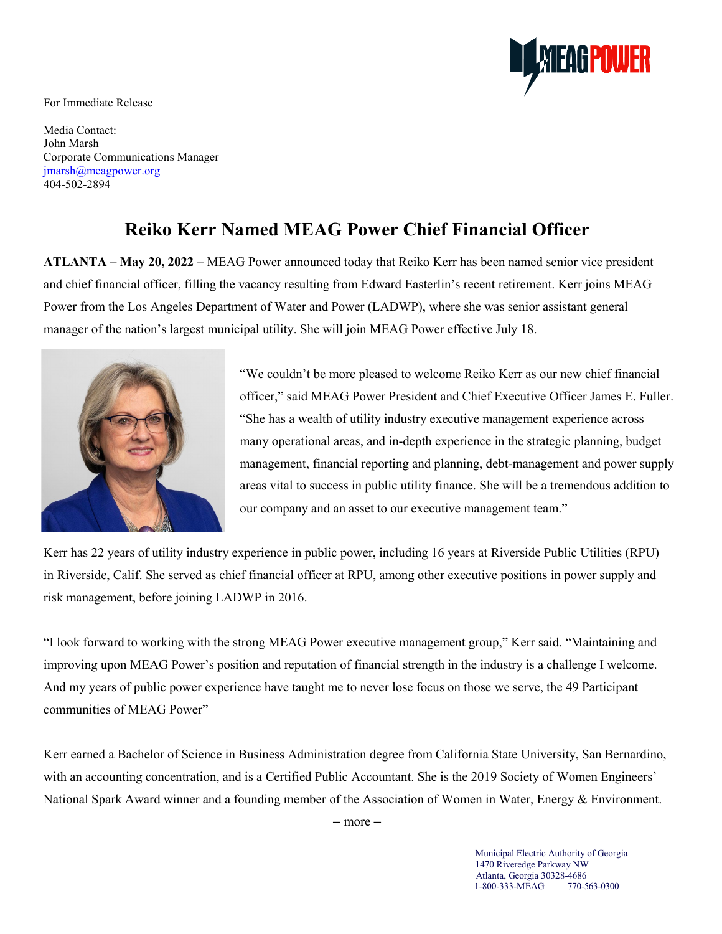**AGPOWER** 

For Immediate Release

Media Contact: John Marsh Corporate Communications Manager [jmarsh@meagpower.org](mailto:pwarfel@meagpower.org) 404-502-2894

## **Reiko Kerr Named MEAG Power Chief Financial Officer**

**ATLANTA – May 20, 2022** – MEAG Power announced today that Reiko Kerr has been named senior vice president and chief financial officer, filling the vacancy resulting from Edward Easterlin's recent retirement. Kerr joins MEAG Power from the Los Angeles Department of Water and Power (LADWP), where she was senior assistant general manager of the nation's largest municipal utility. She will join MEAG Power effective July 18.



"We couldn't be more pleased to welcome Reiko Kerr as our new chief financial officer," said MEAG Power President and Chief Executive Officer James E. Fuller. "She has a wealth of utility industry executive management experience across many operational areas, and in-depth experience in the strategic planning, budget management, financial reporting and planning, debt-management and power supply areas vital to success in public utility finance. She will be a tremendous addition to our company and an asset to our executive management team."

Kerr has 22 years of utility industry experience in public power, including 16 years at Riverside Public Utilities (RPU) in Riverside, Calif. She served as chief financial officer at RPU, among other executive positions in power supply and risk management, before joining LADWP in 2016.

"I look forward to working with the strong MEAG Power executive management group," Kerr said. "Maintaining and improving upon MEAG Power's position and reputation of financial strength in the industry is a challenge I welcome. And my years of public power experience have taught me to never lose focus on those we serve, the 49 Participant communities of MEAG Power"

Kerr earned a Bachelor of Science in Business Administration degree from California State University, San Bernardino, with an accounting concentration, and is a Certified Public Accountant. She is the 2019 Society of Women Engineers' National Spark Award winner and a founding member of the Association of Women in Water, Energy & Environment.

– more –